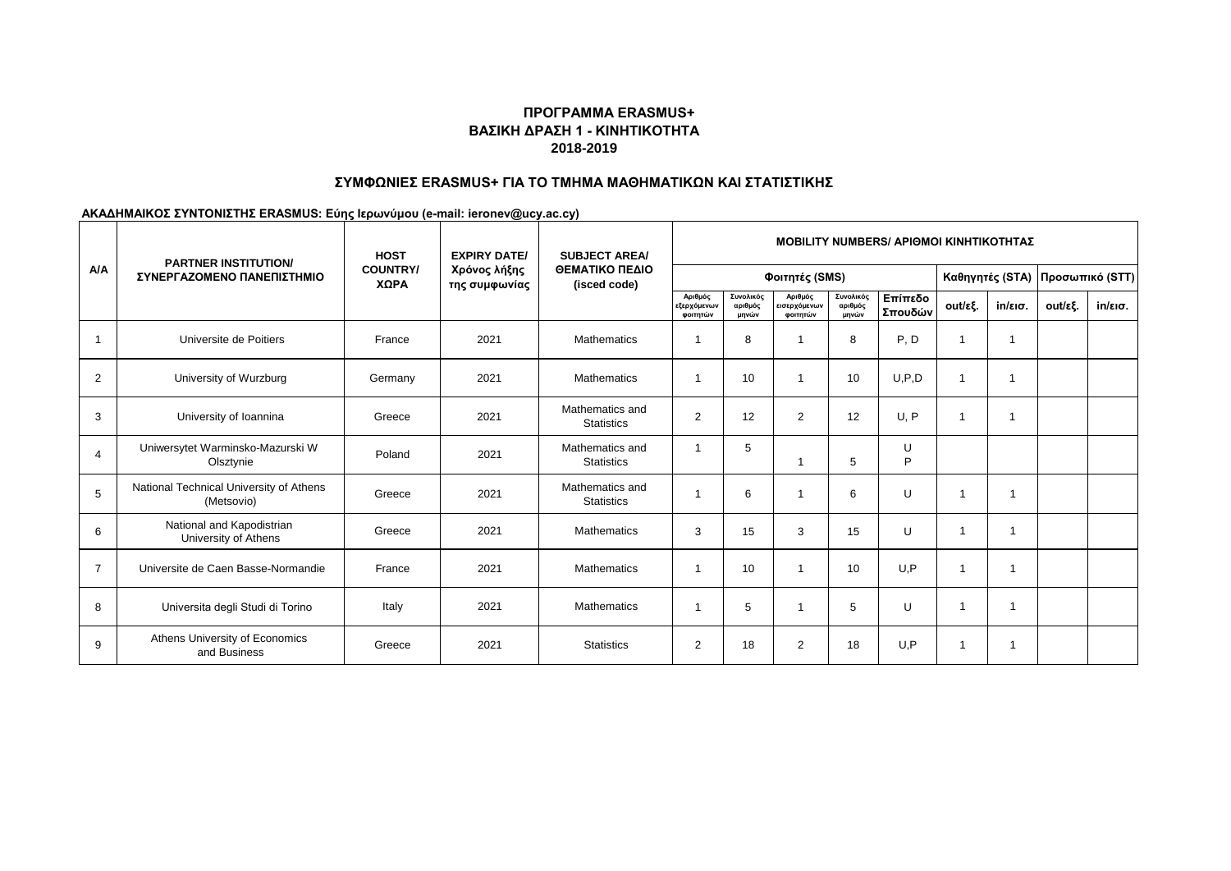# **ΒΑΣΙΚΗ ΔΡΑΣΗ 1 - ΚΙΝΗΤΙΚΟΤΗΤΑ 2018-2019 ΠΡΟΓΡΑΜΜΑ ERASMUS+**

#### **ΣΥΜΦΩΝΙΕΣ ERASMUS+ ΓΙΑ ΤΟ ΤΜΗΜΑ ΜΑΘΗΜΑΤΙΚΩΝ ΚΑΙ ΣΤΑΤΙΣΤΙΚΗΣ**

**ΑΚΑΔΗΜΑΙΚΟΣ ΣΥΝΤΟΝΙΣΤΗΣ ERASMUS: Εύης Ιερωνύμου (e-mail: ieronev@ucy.ac.cy)**

| A/A            | <b>PARTNER INSTITUTION/</b><br>ΣΥΝΕΡΓΑΖΟΜΕΝΟ ΠΑΝΕΠΙΣΤΗΜΙΟ | <b>HOST</b><br><b>COUNTRY/</b><br>ΧΩΡΑ | <b>EXPIRY DATE/</b><br>Χρόνος λήξης<br>της συμφωνίας | <b>SUBJECT AREA/</b><br>ΘΕΜΑΤΙΚΟ ΠΕΔΙΟ<br>(isced code) | <b>MOBILITY NUMBERS/ APIOMOI KINHTIKOTHTAZ</b> |                               |                                     |                               |                    |                 |         |                 |                   |
|----------------|-----------------------------------------------------------|----------------------------------------|------------------------------------------------------|--------------------------------------------------------|------------------------------------------------|-------------------------------|-------------------------------------|-------------------------------|--------------------|-----------------|---------|-----------------|-------------------|
|                |                                                           |                                        |                                                      |                                                        | Φοιτητές (SMS)                                 |                               |                                     |                               |                    | Καθηγητές (STA) |         | Προσωπικό (STT) |                   |
|                |                                                           |                                        |                                                      |                                                        | Αριθμός<br>εξερχόμενων<br>φοιτητών             | Συνολικός<br>αριθμός<br>μηνών | Αριθμός<br>εισερχόμενων<br>φοιτητών | Συνολικός<br>αριθμός<br>μηνών | Επίπεδο<br>Σπουδών | out/εξ.         | in/εισ. | out/εξ.         | $in/\epsilon$ ισ. |
|                | Universite de Poitiers                                    | France                                 | 2021                                                 | <b>Mathematics</b>                                     | -1                                             | 8                             |                                     | 8                             | P, D               | $\overline{1}$  | 1       |                 |                   |
| $\overline{2}$ | University of Wurzburg                                    | Germany                                | 2021                                                 | <b>Mathematics</b>                                     | -1                                             | 10                            |                                     | 10                            | U.P.D              | $\overline{1}$  |         |                 |                   |
| 3              | University of Ioannina                                    | Greece                                 | 2021                                                 | Mathematics and<br><b>Statistics</b>                   | $\overline{2}$                                 | 12                            | $\overline{2}$                      | 12                            | U. P               | $\overline{1}$  |         |                 |                   |
| $\overline{4}$ | Uniwersytet Warminsko-Mazurski W<br>Olsztynie             | Poland                                 | 2021                                                 | Mathematics and<br><b>Statistics</b>                   | $\mathbf{1}$                                   | 5                             |                                     | 5                             | U<br>P             |                 |         |                 |                   |
| 5              | National Technical University of Athens<br>(Metsovio)     | Greece                                 | 2021                                                 | Mathematics and<br><b>Statistics</b>                   | -1                                             | 6                             |                                     | 6                             | U                  |                 |         |                 |                   |
| 6              | National and Kapodistrian<br>University of Athens         | Greece                                 | 2021                                                 | <b>Mathematics</b>                                     | 3                                              | 15                            | 3                                   | 15                            | U                  |                 | -1      |                 |                   |
| $\overline{7}$ | Universite de Caen Basse-Normandie                        | France                                 | 2021                                                 | Mathematics                                            | $\mathbf{1}$                                   | 10                            |                                     | 10                            | U, P               |                 |         |                 |                   |
| 8              | Universita degli Studi di Torino                          | Italy                                  | 2021                                                 | <b>Mathematics</b>                                     | $\mathbf{1}$                                   | 5                             |                                     | 5                             | U                  |                 |         |                 |                   |
| 9              | Athens University of Economics<br>and Business            | Greece                                 | 2021                                                 | <b>Statistics</b>                                      | 2                                              | 18                            | $\overline{2}$                      | 18                            | U, P               |                 | -1      |                 |                   |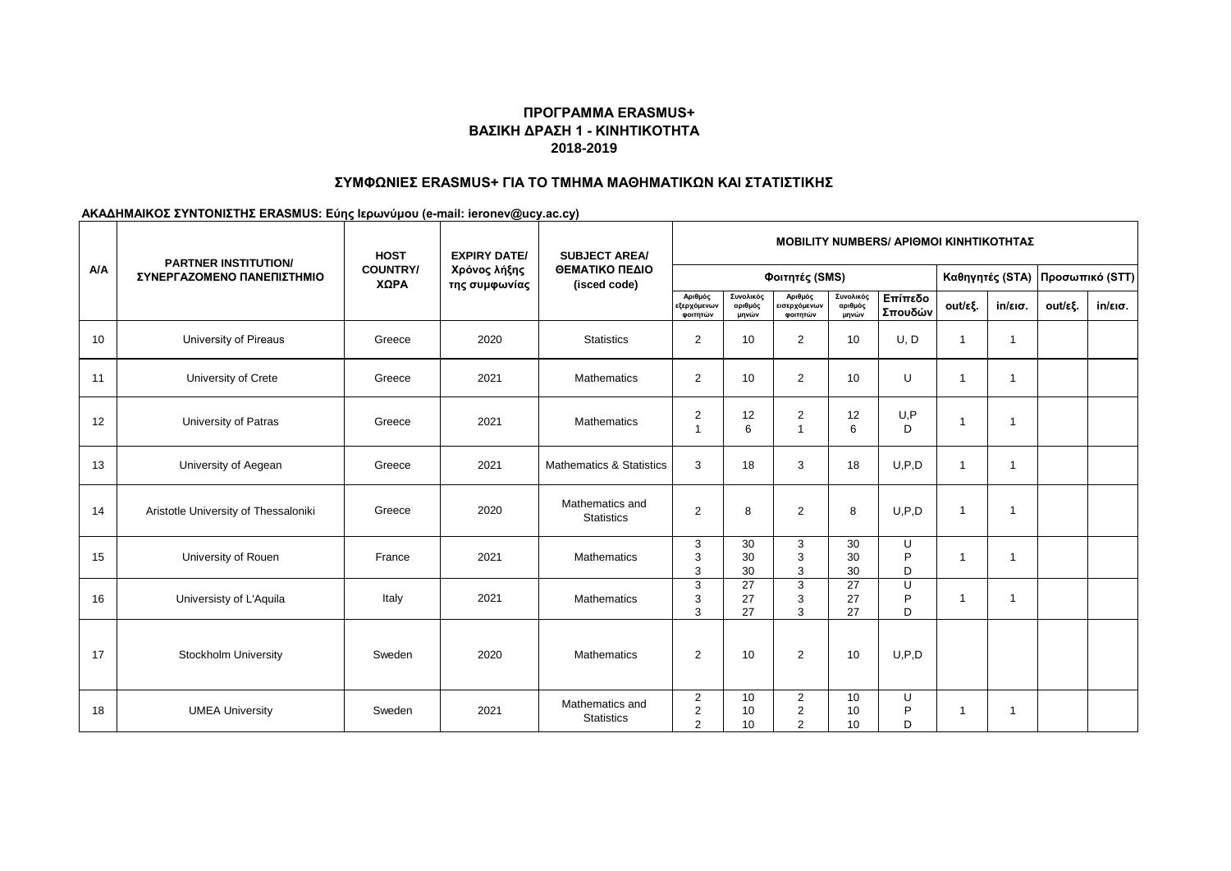# **ΒΑΣΙΚΗ ΔΡΑΣΗ 1 - ΚΙΝΗΤΙΚΟΤΗΤΑ 2018-2019 ΠΡΟΓΡΑΜΜΑ ERASMUS+**

### **ΣΥΜΦΩΝΙΕΣ ERASMUS+ ΓΙΑ ΤΟ ΤΜΗΜΑ ΜΑΘΗΜΑΤΙΚΩΝ ΚΑΙ ΣΤΑΤΙΣΤΙΚΗΣ**

**ΑΚΑΔΗΜΑΙΚΟΣ ΣΥΝΤΟΝΙΣΤΗΣ ERASMUS: Εύης Ιερωνύμου (e-mail: ieronev@ucy.ac.cy)**

| A/A | <b>PARTNER INSTITUTION/</b><br>ΣΥΝΕΡΓΑΖΟΜΕΝΟ ΠΑΝΕΠΙΣΤΗΜΙΟ | <b>HOST</b><br><b>COUNTRY/</b><br>ΧΩΡΑ | <b>EXPIRY DATE/</b><br>Χρόνος λήξης<br>της συμφωνίας | <b>SUBJECT AREA/</b><br>ΘΕΜΑΤΙΚΟ ΠΕΔΙΟ<br>(isced code) | <b>MOBILITY NUMBERS/ ΑΡΙΘΜΟΙ ΚΙΝΗΤΙΚΟΤΗΤΑΣ</b>     |                               |                                                    |                               |                    |                 |                          |                 |                   |
|-----|-----------------------------------------------------------|----------------------------------------|------------------------------------------------------|--------------------------------------------------------|----------------------------------------------------|-------------------------------|----------------------------------------------------|-------------------------------|--------------------|-----------------|--------------------------|-----------------|-------------------|
|     |                                                           |                                        |                                                      |                                                        | Φοιτητές (SMS)                                     |                               |                                                    |                               |                    | Καθηγητές (STA) |                          | Προσωπικό (STT) |                   |
|     |                                                           |                                        |                                                      |                                                        | Αριθμός<br><b>εξερχόμενων</b><br>φοιτητών          | Συνολικός<br>αριθμός<br>μηνών | Αριθμός<br>εισερχόμενων<br>φοιτητών                | Συνολικός<br>αριθμός<br>μηνών | Επίπεδο<br>Σπουδών | out/εξ.         | $in/\epsilon$ ισ.        | out/εξ.         | $in/\epsilon$ ισ. |
| 10  | University of Pireaus                                     | Greece                                 | 2020                                                 | <b>Statistics</b>                                      | $\overline{2}$                                     | 10                            | $\overline{2}$                                     | 10                            | U, D               | 1               | -1                       |                 |                   |
| 11  | University of Crete                                       | Greece                                 | 2021                                                 | <b>Mathematics</b>                                     | $\overline{2}$                                     | 10                            | $\overline{2}$                                     | 10                            | U                  | 1               | $\overline{\phantom{a}}$ |                 |                   |
| 12  | University of Patras                                      | Greece                                 | 2021                                                 | <b>Mathematics</b>                                     | $\overline{2}$<br>$\overline{1}$                   | 12<br>6                       | $\overline{2}$<br>-1                               | 12<br>6                       | U, P<br>D          | 1               | -1                       |                 |                   |
| 13  | University of Aegean                                      | Greece                                 | 2021                                                 | <b>Mathematics &amp; Statistics</b>                    | 3                                                  | 18                            | 3                                                  | 18                            | U.P.D              | 1               | -1                       |                 |                   |
| 14  | Aristotle University of Thessaloniki                      | Greece                                 | 2020                                                 | Mathematics and<br><b>Statistics</b>                   | 2                                                  | 8                             | $\overline{2}$                                     | 8                             | U.P.D              | 1               | -1                       |                 |                   |
| 15  | University of Rouen                                       | France                                 | 2021                                                 | <b>Mathematics</b>                                     | 3<br>3<br>3                                        | 30<br>30<br>30                | 3<br>3<br>3                                        | 30<br>30<br>30                | U<br>P<br>D        | 1               | -1                       |                 |                   |
| 16  | Universisty of L'Aquila                                   | Italy                                  | 2021                                                 | <b>Mathematics</b>                                     | 3<br>3<br>3                                        | 27<br>27<br>27                | 3<br>3<br>3                                        | 27<br>27<br>27                | U<br>P<br>D        | 1               | -1                       |                 |                   |
| 17  | <b>Stockholm University</b>                               | Sweden                                 | 2020                                                 | Mathematics                                            | $\overline{2}$                                     | 10                            | $\overline{2}$                                     | 10                            | U.P.D              |                 |                          |                 |                   |
| 18  | <b>UMEA University</b>                                    | Sweden                                 | 2021                                                 | Mathematics and<br><b>Statistics</b>                   | $\overline{c}$<br>$\overline{2}$<br>$\overline{2}$ | 10<br>10<br>10                | $\overline{2}$<br>$\overline{2}$<br>$\overline{2}$ | 10<br>10<br>10                | U<br>P<br>D        |                 | -1                       |                 |                   |